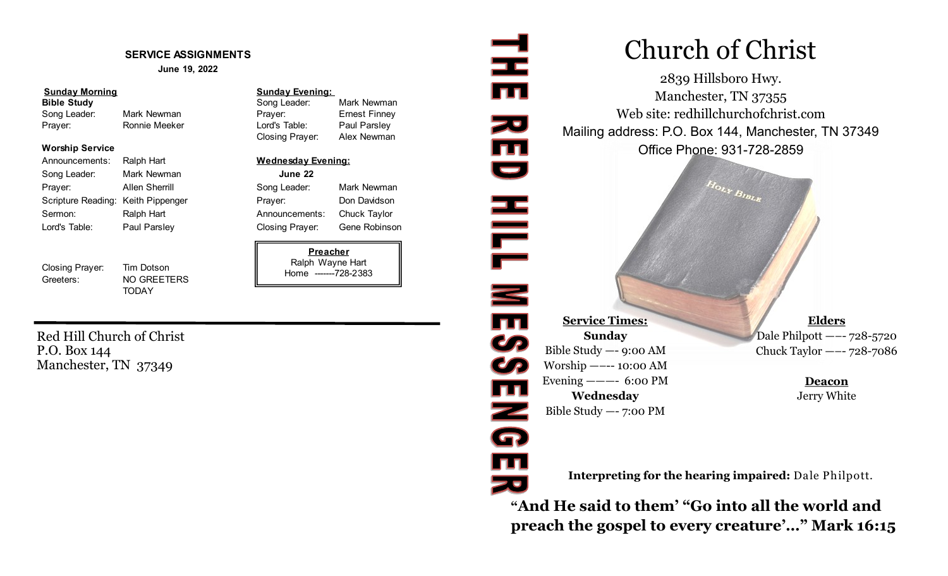#### **SERVICE ASSIGNMENTS**

**June 19, 2022**

#### **Sunday Morning Sunday Evening:**

#### **Worship Service**

| Announcements:                     | Ralph Hart     | <b>Wednesday</b>     |
|------------------------------------|----------------|----------------------|
| Song Leader:                       | Mark Newman    | June 22              |
| Prayer:                            | Allen Sherrill | Song Leader:         |
| Scripture Reading: Keith Pippenger |                | Prayer:              |
| Sermon:                            | Ralph Hart     | Announcemer          |
| Lord's Table:                      | Paul Parsley   | <b>Closing Praye</b> |

Closing Prayer: Tim Dotson Greeters: NO GREETERS

**TODAY** 

# **Bible Study Song Leader:** Mark Newman **Bible Study** Song Leader: Mark Newman Song Leader: Mark Newman Prayer: Ernest Finney Prayer: Ronnie Meeker Lord's Table: Paul Parsley Closing Prayer: Alex Newman

#### **Wednesday Evening:**

Song Leader: Mark Newman Prayer: Don Davidson Announcements: Chuck Taylor Closing Prayer: Gene Robinson

### **Preacher** Ralph Wayne Hart Home -------728-2383

Red Hill Church of Christ P.O. Box 144 Manchester, TN 37349

# Church of Christ

2839 Hillsboro Hwy. Manchester, TN 37355 Web site: redhillchurchofchrist.com Mailing address: P.O. Box 144, Manchester, TN 37349 Office Phone: 931-728-2859

 $H_{OLY}$   $B_{IBL_R}$ 

**Service Times: Sunday** Bible Study —- 9:00 AM Worship —–-- 10:00 AM Evening  $--- 6:00 \text{ PM}$ **Wednesday** Bible Study —- 7:00 PM

로

zu<br>III<br>U

HILL MESS

 $\overline{\mathbf{m}}$ 

Z<br>G

TI<br>Ze

**Elders** Dale Philpott —–- 728-5720 Chuck Taylor —–- 728-7086

> **Deacon** Jerry White

**Interpreting for the hearing impaired:** Dale Philpott.

**"And He said to them' "Go into all the world and preach the gospel to every creature'…" Mark 16:15**